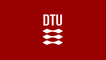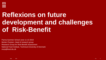

# **Reflexions on future development and challenges of Risk-Benefit**

Parma Summer School June 11-13 2019 Morten Poulsen, Head of research group Research Group for Risk-Benefit Assessment National Food Institute, Technical University of Denmark morp@food.dtu.dk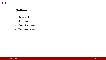#### **Outline**

- 1. Status of RBA
- 2. Challenges
- 3. Future developments
- 4. Take-home message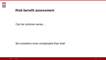

#### **Risk-benefit assessment**

Can be common sense…

But sometims more complicated than that!

**4**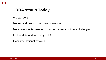

## **RBA status Today**

We can do it!

Models and methods has been developed

More case studies needed to tackle present and future challenges

Lack of data and too many data!

Good international network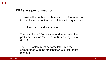

#### **RBAs are performed to…**

- …provide the public or authorities with information on the health impact of (current or future) dietary choices
- …evaluate proposed interventions
- The aim of any RBA is stated and reflected in the problem definition (or Terms of Reference) EFSA (2010)
- The RB problem must be formulated in close collaboration with the stakeholder (e.g. risk-benefit manager)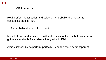

#### **RBA status**

Health effect identification and selection is probably the most timeconsuming step in RBA

… But probably the most important!

Multiple frameworks available within the individual fields, but no clear-cut guidance available for evidence integration in RBA

Almost impossible to perform perfectly – and therefore be transparent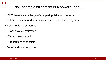## **Risk-benefit assessment is a powerful tool…**

**…BUT** there is a challenge of comparing risks and benefits:

- Risk assessment and benefit assessment are different by nature
- Risk should be prevented
	- –Conservative estimates
	- –Worst case scenarios
	- –Precautionary principle
- Benefits should be proven

**DTU** 

 $\mathbf{u}$ 

**8**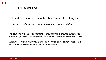

### RBA vs RA

Risk and benefit assessment has been known for a long time,

but Risk-benefit assessment (RBA) is something different

*The purpose of a Risk Assessment of chemicals is to provide evidence to ensure a high level of protection of human health - conservative, worst case* 

*Burden of foodborne chemicals provide evidence of the current impact that exposure to a given chemical has on public health*

**9**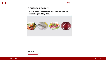#### **Workshop Report**

**Risk-Benefit Assessment Expert Workshop** Copenhagen, May 2017



DTU Food National Food Institute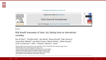#### Food Research International xxx (xxxx) xxx-xxx



Review

Risk Benefit Assessment of foods: Key findings from an international workshop

Sara M. Pires<sup>a,\*</sup>, Géraldine Boué<sup>b</sup>, Alan Boobis<sup>c</sup>, Hanna Eneroth<sup>d</sup>, Jeljer Hoekstra<sup>e</sup>, Jeanne-Marie Membré<sup>b</sup>, Inez Maria Persson<sup>a</sup>, Morten Poulsen<sup>a</sup>, Juliana Ruzante<sup>f</sup>, Jacob van Klaveren<sup>a, e</sup>, Sofie T. Thomsen<sup>a</sup>, Maarten J. Nauta<sup>a</sup>

<sup>a</sup> Division of Diet, Disease Prevention and Toxicology, National Food Institute, Technical University of Denmark, Lyngby, Denmark

<sup>b</sup> SECALIM, INRA, Oniris, Université Bretagne Loire, Nantes, France

<sup>c</sup> Faculty of Medicine, Department of Medicine, Imperial College London, United Kingdom

<sup>d</sup> Department of Risk Benefit Assessment, The National Food Agency, Uppsala, Sweden

<sup>e</sup> National Institute for Public Health and the Environment, Bilthoven, The Netherlands

<sup>f</sup> RTI International, Research Triangle Park, North Carolina, United States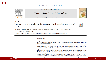



Contents lists available at ScienceDirect

Trends in Food Science & Technology

journal homepage: www.elsevier.com/locate/tifs



Review

Meeting the challenges in the development of risk-benefit assessment of foods



Maarten J. Nauta\*, Rikke Andersen, Kirsten Pilegaard, Sara M. Pires, Gitte Ravn-Haren, Inge Tetens, Morten Poulsen

Research Group for Risk-Benefit, National Food Institute, Technical University of Denmark (DTU), Kemitorvet, 2800 Kgs. Lyngby, Denmark

#### **ABSTRACT**

Background: Risk-benefit assessment (RBA) of foods aims to assess the combined negative and positive health effects associated with food intake. RBAs integrate chemical and microbiological risk assessment with risk and benefit assessment in nutrition.

Scope and Approach: Based on the past experiences and the methodological differences between the underlying research disciplines, this paper aims to describe the recent progress in RBAs, identifying the key challenges that need to be addressed for further development, and making suggestions for meeting these challenges.

Key Findings and Conclusions: Ten specific challenges are identified and discussed. They include the variety of different definitions and terminologies used in the underlying research disciplines, the differences between the "bottom-up" and the "top-down" approaches and the need for clear risk-benefit questions. The frequent lack of data and knowledge with their consequential uncertainties is considered, as well as the imbalance in the level of scientific evidence associated with health risks and benefits. The challenges that are consequential to the need of considering substitution issues are discussed, as are those related to the inclusion of microbiological hazards. Further challenges include the choice of the integrative health metrics and the potential scope of RBAs, which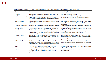| Topic                                           | Challenge                                                                                                                                                                                                                                                                                               | Suggested way forward                                                                                                                                                                                                                       |
|-------------------------------------------------|---------------------------------------------------------------------------------------------------------------------------------------------------------------------------------------------------------------------------------------------------------------------------------------------------------|---------------------------------------------------------------------------------------------------------------------------------------------------------------------------------------------------------------------------------------------|
| <b>Definitions</b><br>Top-down versus bottom-up | Definitions of basic concepts differ between disciplines underlying RBA.<br>Risk and benefit assessments can be based on top-down human<br>observational evidence or bottom-up risk assessment approaches,<br>which may provide different health effect estimates of food compounds<br>or contaminants. | Create awareness and reach consensus.<br>Perform studies that combine the two approaches to compare potential<br>bias and uncertainties, either by case studies or simulation studies.                                                      |
| Risk-benefit question                           | A wide and confusing range of questions is possible, which may require<br>different methods.                                                                                                                                                                                                            | Define the risk-benefit question in close collaboration with risk-benefit<br>managers. Categorise questions and frame the risk-benefit question<br>schematically.                                                                           |
| Lack of data and knowledge;<br>uncertainty      | Missing data and knowledge can lead to large uncertainties attending<br>RBA.                                                                                                                                                                                                                            | Identify, characterise and communicate uncertainties; fill up the crucial<br>identified data gaps.                                                                                                                                          |
| Imbalance of level of<br>evidence               | The level of evidence required for benefits is usually larger than for<br>risks, hence risks are more likely to be included in RBAs.                                                                                                                                                                    | Put emphasis on the size of the health effect rather than on the presence<br>or absence of the health effect.                                                                                                                               |
| Substitution                                    | When an alternative intake scenario implies a change in consumption<br>of one food product, it will have consequences for others. There can be<br>many options for substitution.                                                                                                                        | Find a comparable food product and include it in the analysis, use<br>isocaloric alternatives, or compare several scenarios.                                                                                                                |
| Quantitative metrics                            | Qualitative and quantitative approaches can be used and various health<br>metrics can be selected. They can be applied both at population level<br>and individual level.                                                                                                                                | More than one metric can be useful, quantitative assessments can be<br>preferable even if the risk-benefit balance is clear. Well balanced choices<br>for the metrics applied have to be made when the risk-benefit question is<br>defined. |
| Including microbiology                          | Microbiology is not well integrated in current RBA methods, definitions<br>and concepts may be different. Yet it is an intrinsic part of food safety<br>with significant health implications and therefore it should be included<br>in RBAs.                                                            | Perform more RBAs that include microbiological hazards, take<br>advantage of experience in disease burden estimation and risk ranking.                                                                                                      |
| Scope                                           | The scope of RBAs can be extended beyond health concerns, for<br>example by including costs and environmental sustainability.                                                                                                                                                                           | Develop methods and metrics to do this further, integrate methods such<br>as LCA and MCDA into RBAs.                                                                                                                                        |
| Application                                     | The (Quantitative) RBA methodology has not yet been applied much, it<br>is unclear to what extent the developed methods are practically<br>applicable.                                                                                                                                                  | With case studies, show how useful the RBA can be in different areas and<br>discuss experiences.                                                                                                                                            |

A summary of the challenges in risk-benefit assessment as discussed in this paper, with a brief indication of the proposed way forward.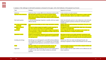#### A summary of the challenges in risk-benefit assessment as discussed in this paper, with a brief indication of the proposed way forward.

| <b>Topic</b>                               | Challenge                                                                                                                                                                                                                                                                                               | Suggested way forward                                                                                                                                                                                                                       |
|--------------------------------------------|---------------------------------------------------------------------------------------------------------------------------------------------------------------------------------------------------------------------------------------------------------------------------------------------------------|---------------------------------------------------------------------------------------------------------------------------------------------------------------------------------------------------------------------------------------------|
| Definitions<br>Top-down versus bottom-up   | Definitions of basic concepts differ between disciplines underlying RBA.<br>Risk and benefit assessments can be based on top-down human<br>observational evidence or bottom-up risk assessment approaches,<br>which may provide different health effect estimates of food compounds<br>or contaminants. | Create awareness and reach consensus.<br>Perform studies that combine the two approaches to compare potential<br>bias and uncertainties, either by case studies or simulation studies.                                                      |
| Risk-benefit question                      | A wide and confusing range of questions is possible, which may require<br>different methods.                                                                                                                                                                                                            | Define the risk-benefit question in close collaboration with risk-benefit<br>managers. Categorise questions and frame the risk-benefit question<br>schematically.                                                                           |
| Lack of data and knowledge;<br>uncertainty | Missing data and knowledge can lead to large uncertainties attending<br>RBA.                                                                                                                                                                                                                            | Identify, characterise and communicate uncertainties; fill up the crucial<br>identified data gaps.                                                                                                                                          |
| Imbalance of level of<br>evidence          | The level of evidence required for benefits is usually larger than for<br>risks, hence risks are more likely to be included in RBAs.                                                                                                                                                                    | Put emphasis on the size of the health effect rather than on the presence<br>or absence of the health effect.                                                                                                                               |
| Substitution                               | When an alternative intake scenario implies a change in consumption<br>of one food product, it will have consequences for others. There can be<br>many options for substitution.                                                                                                                        | Find a comparable food product and include it in the analysis, use<br>isocaloric alternatives, or compare several scenarios.                                                                                                                |
| Quantitative metrics                       | Qualitative and quantitative approaches can be used and various health<br>metrics can be selected. They can be applied both at population level<br>and individual level.                                                                                                                                | More than one metric can be useful, quantitative assessments can be<br>preferable even if the risk-benefit balance is clear. Well balanced choices<br>for the metrics applied have to be made when the risk-benefit question is<br>defined. |
| Including microbiology                     | Microbiology is not well integrated in current RBA methods, definitions<br>and concepts may be different. Yet it is an intrinsic part of food safety<br>with significant health implications and therefore it should be included<br>in RBAs.                                                            | Perform more RBAs that include microbiological hazards, take<br>advantage of experience in disease burden estimation and risk ranking.                                                                                                      |
| <b>Scope</b>                               | The scope of RBAs can be extended beyond health concems, for<br>example by including costs and environmental sustainability.                                                                                                                                                                            | Develop methods and metrics to do this further, integrate methods such<br>as LCA and MCDA into RBAs.                                                                                                                                        |
| Application                                | The (Quantitative) RBA methodology has not yet been applied much, it<br>is unclear to what extent the developed methods are practically<br>applicable.                                                                                                                                                  | With case studies, show how useful the RBA can be in different areas and<br>discuss experiences.                                                                                                                                            |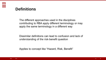## **Definitions**

The different approaches used in the disciplines contributing to RBA apply different terminology or may apply the same terminology in a different way

Dissimilar definitions can lead to confusion and lack of understanding of the risk-benefit question

Applies to concept like "Hazard, Risk, Benefit"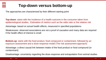

## **Top-down versus bottom-up**

The approaches are characterised by their different starting point

**Top-down**: starts with the incidence of a health outcome in the consumer taken from epidemiological studies. Estimation of metrics such as the odds ratio or the relative risk

Advantage: based on actual health effects, measured in specified populations.

Weaknesses: observed associations are not a proof of causation and many data are required if the health effect of interest is small

**Bottom-up**: starts with the food product, food compound or contaminant, followed by an exposure assessment and a dose-response model (The risk assessment approach)

Advantage: a direct causal link between intake of the food product or food compound (or contaminant)

Disadvantage: uncertainty regarding the dose-response and extrapolation from animal studies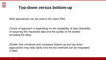

## **Top-down versus bottom-up**

Both approaches can be used in the same RBA

Choice of approach is depending on the availability of data (feasibility of acquiring the requested data and the quality of the studies providing the data)

Studies that combined and compared bottom-up and top-down approaches may help clarify how the two methods can be integrated in RBA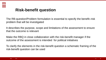

## **Risk-benefit question**

The RB-question/Problem formulation is essential to specify the benefit–risk problem that will be investigated

It describes the purpose, scope and limitations of the assessment to ensure that the outcome is relevant

Make the RBQ in close collaboration with the risk-benefit manager if the outcome of the assessment is intended for political initiatives

To clarify the elements in the risk-benefit question a schematic framing of the risk-benefit question can be used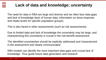## **Lack of data and knowledge; uncertainty**

The need for data in RBA are large and diverse and we often face data gaps and lack of knowledge (lack of human data, information on dose-response and intake levels for specific population groups)

This is also faced in other assessments (such as risk assessments)

Due to limited data and lack of knowledge the uncertainty may be large, and characterising this uncertainty is crucial in the risk-benefit assessment

The identified uncertainties should be explicitly addressed and characterized in the assessment and clearly communicated

RBA models can identify the most important data gaps and crucial lack of knowledge. Thus guide future data generation and research

**DTU**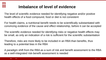

## **Imbalance of level of evidence**

The level of scientific evidence needed for identifying negative and/or positive health effects of a food compound, food or diet is not consistent

For health claims, a nutritional benefit needs to be scientifically substantiated with convincing evidence of the cause and effect relationship, before it can be accepted

The scientific evidence needed for identifying risks or negative health effects may be small, as only an indication of a risk is sufficient for the scientific substantiation

Therefore, risks are more likely to be included in an RBA than benefits, thus leading to a potential bias in the RBA

A paradigm shift from the RBA as a sum of risk and benefit assessment to the RBA as a well-integrated risk-benefit assessment is needed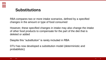

## **Substitutions**

RBA compares two or more intake scenarios, defined by a specified changes in the amount or type of food consumed

However, these specified changes in intake may also change the intake of other food products to compensate for the part of the diet that is deleted or added

Despite this "substitution" is rarely included in RBA

DTU has now developed a substitution model (deterministic and probabilistic)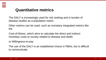

## **Quantitative metrics**

The DALY is increasingly used for risk ranking and in burden of disease studies as a population metric

Other metrics can be used, such as monetary integrated metrics like the

Cost-of-illness, which aims to calculate the direct and indirect monetary costs to society related to disease and death

or Willingness-to-pay

The use of the DALY is an established choice in RBAs, but is difficult to communicate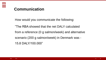## **Communication**

How would you communicate the following:

"The RBA showed that the net DALY calculated from a reference (0 g salmon/week) and alternative scenario (200 g salmon/week) in Denmark was - 15.8 DALY/100.000"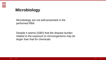

## **Microbiology**

Microbiology are not well-presented in the performed RBA

Despite it seems (GBD) that the disease burden related to the exposure to microorganisms may be larger than that for chemicals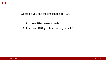Where do you see the challenges in RBA?

- 1) for those RBA already made?
- 2) For those RBA you have to do yourself?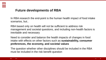

In RBA research the end-point is the human health impact of food intake scenarios, but..

RBA based only on health will not be sufficient to address risk management and societal questions, and including non-health factors is inevitable and necessary

Need to consider and balance the health impacts of changes in food intake with effects on other factors such as **sustainability, consumer preferences, the economy, and societal values**

The question whether other disciplines should be included in the RBA must be included in the risk benefit question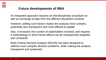An integrated approach requires an interdisciplinary procedure as well as exchange of data from the different disciplines involved

However, adding such factors makes the analysis more complex, potentially less transparent and more difficult to update

Also, it increases the number of stakeholders involved, and requires a methodology in which those effects can be transparently weighted and compared

Multi-Criteria Decision Analysis (MCDA) has been designed to address such complex decision problems, while making the analysis transparent and systematic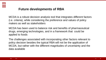

MCDA is a robust decision analysis tool that integrates different factors (i.e. criteria), while considering the preference and values of policy makers as well as stakeholders

MCDA has been used to balance risk and benefits of pharmaceutical drugs, emerging technologies, and in a framework that could be applied to foods

The challenges associated with incorporating other factors relevant to policy decision besides the typical RBA will not be the application of MCDA, but rather with the different magnitudes of uncertainty and the data available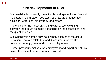

Sustainability is not easily quantified by a single indicator. Several indicators in the area of food exist, such as greenhouse gas emission, water use, biodiversity, and others

The choice for the most suitable indicator and/or weighing between them must be made depending on the assessment and the question asked

Sustainability is not the only issue when it comes to the actual behavioral motives related to food. Consumer motives like convenience, enjoyment and cost also play a role

Further prosperity motives like employment and export and ethical issues like animal welfare are also involved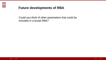Could you think of other parameters that could be included in a broad RBA?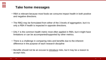

#### **Take home messages**

- RBA is relevant because most foods we consume impact health in both positive and negative directions.
- The RBQ may be formulated from either of the 3 levels of aggregation, but it is only a RBA if health is impacted in opposite directions.
- DALY is the common health metric most often applied in RBA, but it might have limitations or can be accompanied/supported by other metrics.
- There is a challenge in comparing risks and benefits due to the inherent difference in the purpose of each research discipline
- Benefits should not be an excuse to introduce risks, but it may be a reason to accept risks.